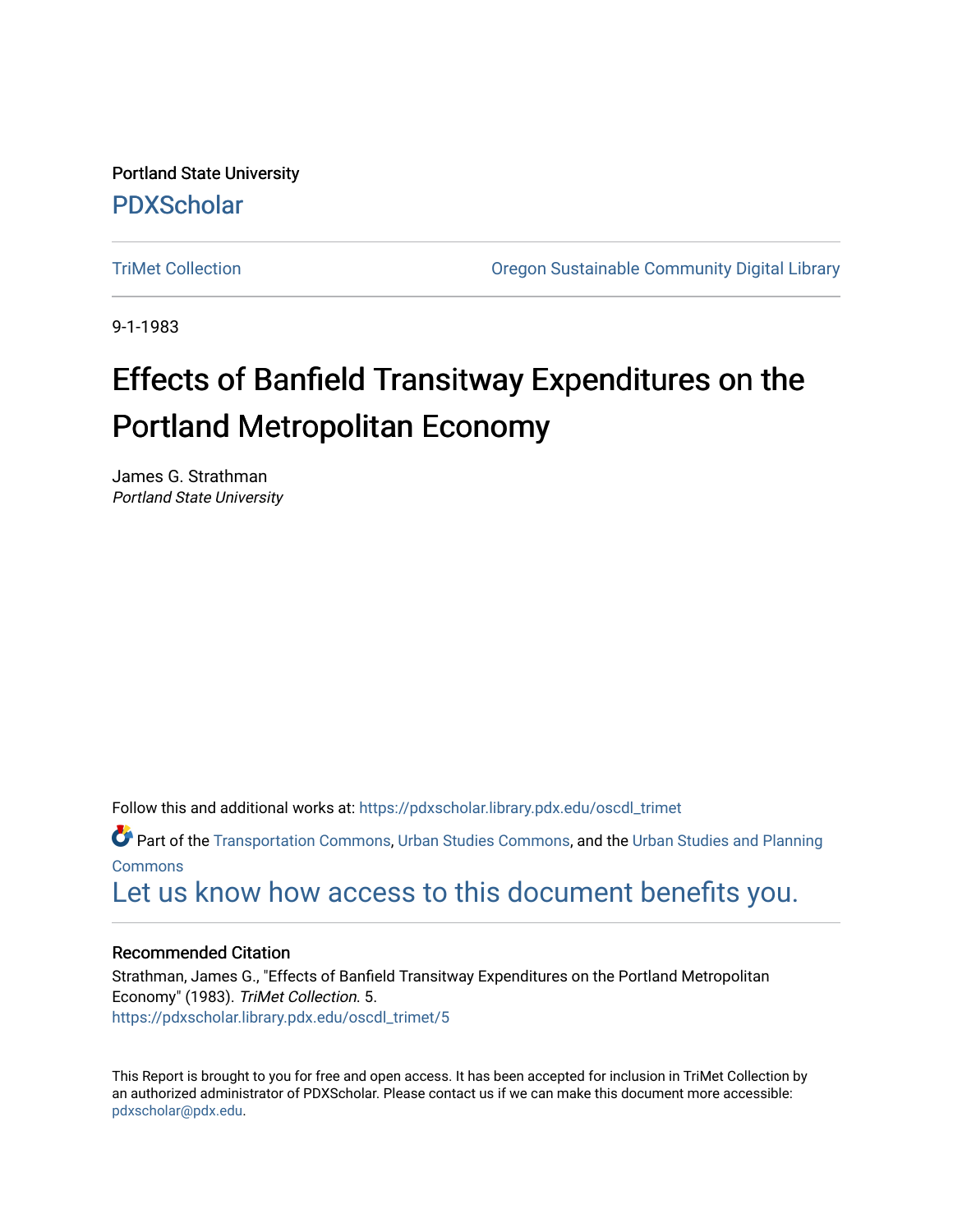Portland State University [PDXScholar](https://pdxscholar.library.pdx.edu/)

[TriMet Collection](https://pdxscholar.library.pdx.edu/oscdl_trimet) [Oregon Sustainable Community Digital Library](https://pdxscholar.library.pdx.edu/oscdl) 

9-1-1983

# Effects of Banfield Transitway Expenditures on the Portland Metropolitan Economy

James G. Strathman Portland State University

Follow this and additional works at: [https://pdxscholar.library.pdx.edu/oscdl\\_trimet](https://pdxscholar.library.pdx.edu/oscdl_trimet?utm_source=pdxscholar.library.pdx.edu%2Foscdl_trimet%2F5&utm_medium=PDF&utm_campaign=PDFCoverPages)

Part of the [Transportation Commons](http://network.bepress.com/hgg/discipline/1068?utm_source=pdxscholar.library.pdx.edu%2Foscdl_trimet%2F5&utm_medium=PDF&utm_campaign=PDFCoverPages), [Urban Studies Commons](http://network.bepress.com/hgg/discipline/402?utm_source=pdxscholar.library.pdx.edu%2Foscdl_trimet%2F5&utm_medium=PDF&utm_campaign=PDFCoverPages), and the [Urban Studies and Planning](http://network.bepress.com/hgg/discipline/436?utm_source=pdxscholar.library.pdx.edu%2Foscdl_trimet%2F5&utm_medium=PDF&utm_campaign=PDFCoverPages)  [Commons](http://network.bepress.com/hgg/discipline/436?utm_source=pdxscholar.library.pdx.edu%2Foscdl_trimet%2F5&utm_medium=PDF&utm_campaign=PDFCoverPages)

[Let us know how access to this document benefits you.](http://library.pdx.edu/services/pdxscholar-services/pdxscholar-feedback/?ref=https://pdxscholar.library.pdx.edu/oscdl_trimet/5) 

## Recommended Citation

Strathman, James G., "Effects of Banfield Transitway Expenditures on the Portland Metropolitan Economy" (1983). TriMet Collection. 5. [https://pdxscholar.library.pdx.edu/oscdl\\_trimet/5](https://pdxscholar.library.pdx.edu/oscdl_trimet/5?utm_source=pdxscholar.library.pdx.edu%2Foscdl_trimet%2F5&utm_medium=PDF&utm_campaign=PDFCoverPages) 

This Report is brought to you for free and open access. It has been accepted for inclusion in TriMet Collection by an authorized administrator of PDXScholar. Please contact us if we can make this document more accessible: [pdxscholar@pdx.edu.](mailto:pdxscholar@pdx.edu)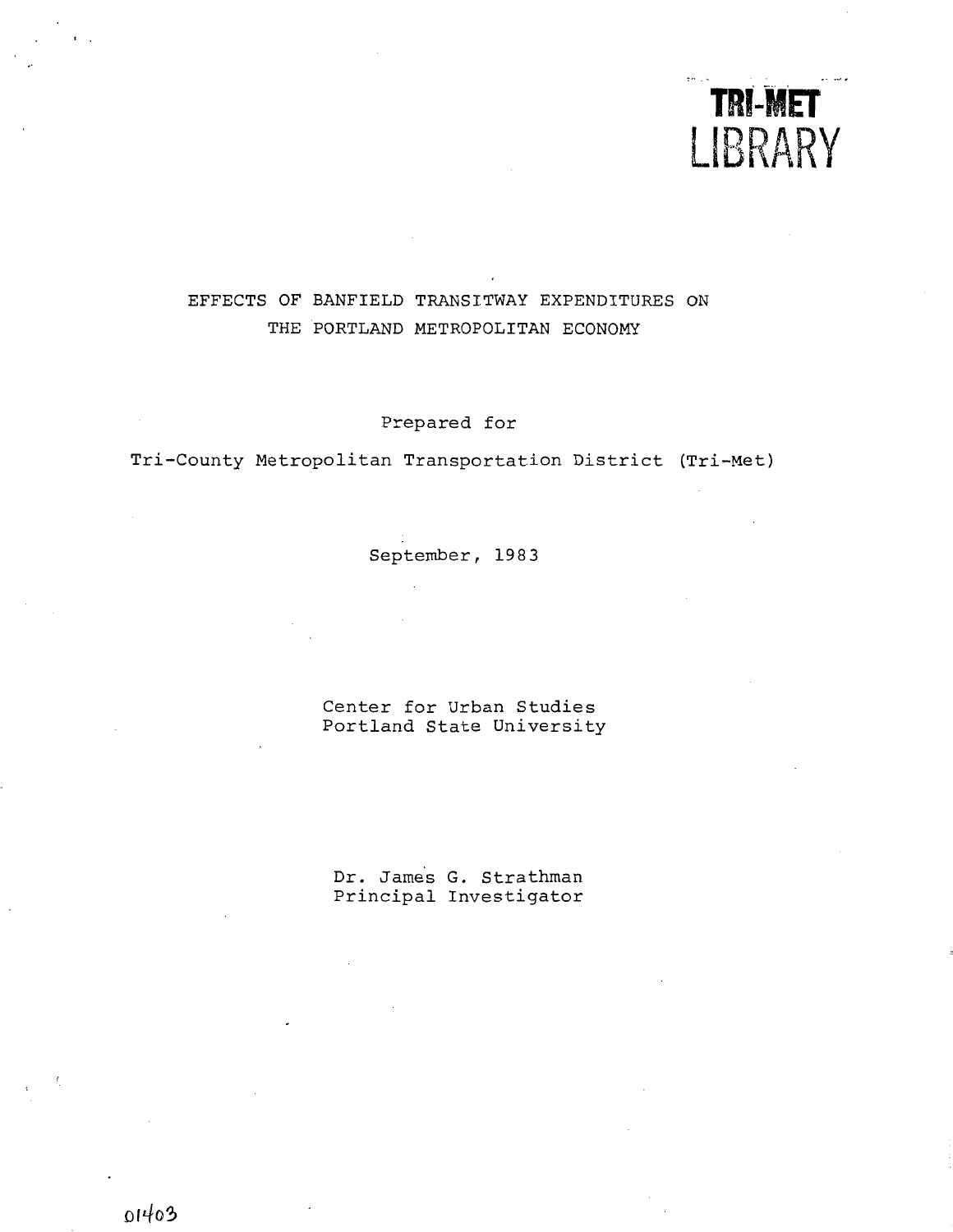

## EFFECTS OF BANFIELD TRANSITWAY EXPENDITURES ON THE PORTLAND METROPOLITAN ECONOMY

Prepared for

Tri-County Metropolitan Transportation District (Tri-Met)

September, 1983

Center for Urban Studies Portland State University

Dr. James G. Strathman Principal Investigator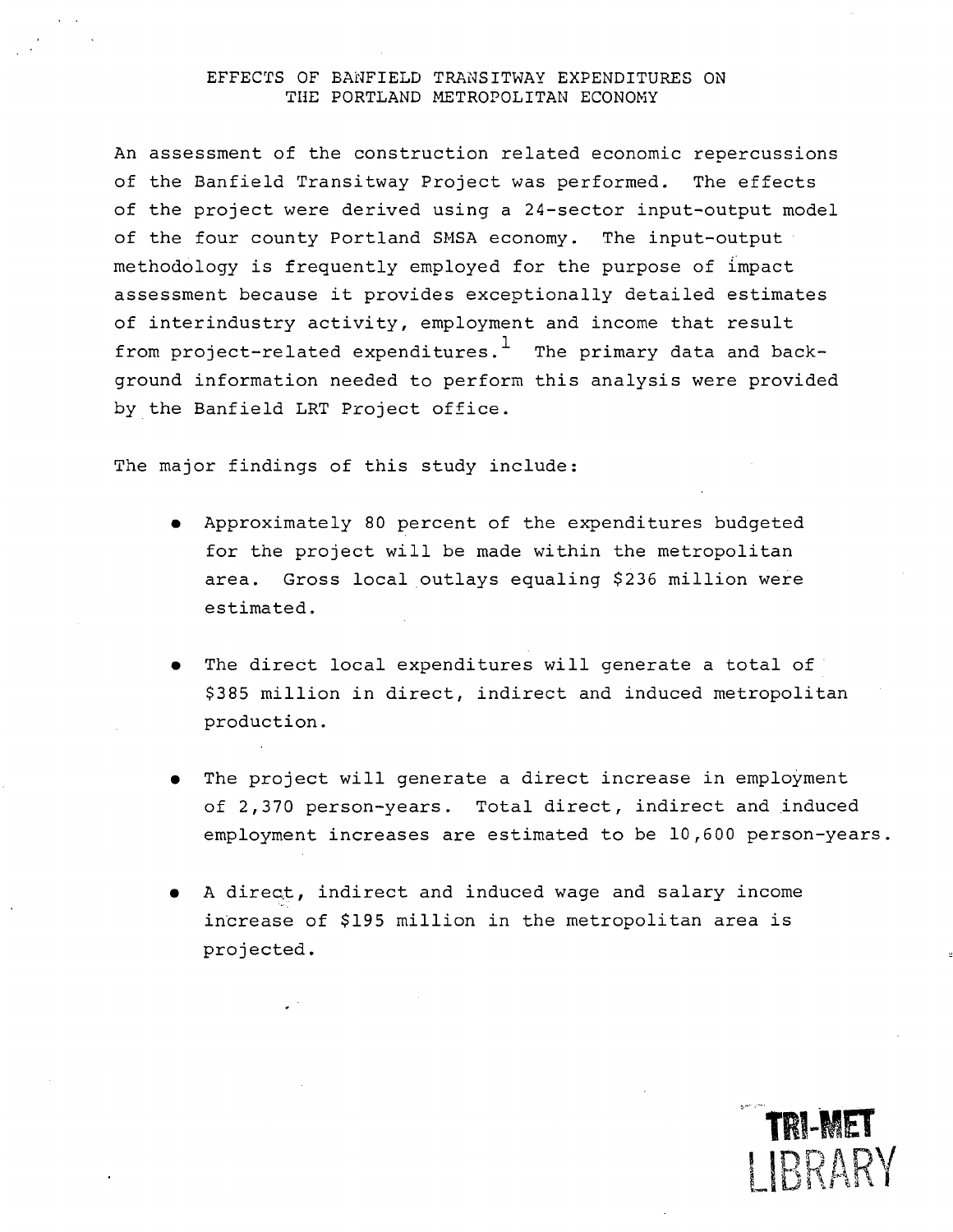### EFFECTS OF BANFIELD TRANSITWAY EXPENDITURES ON THE PORTLAND METROPOLITAN ECONOMY

An assessment of the construction related economic repercussions of the Banfield Transitway Project was performed. The effects of the project were derived using a 24-sector input-output model of the four county Portland SMSA economy. The input-output methodology is frequently employed for the purpose of impact assessment because it provides exceptionally detailed estimates of interindustry activity, employment and income that result from project-related expenditures.<sup>1</sup> The primary data and background information needed to perform this analysis were provided by the Banfield LRT Project office.

The major findings of this study include:

- Approximately 80 percent of the expenditures budgeted for the project will be made within the metropolitan area. Gross local outlays equaling \$236 million were estimated.
- The direct local expenditures will generate a total of \$385 million in direct, indirect and induced metropolitan production.
- The project will generate a direct increase in employment of 2,370 person-years. Total direct, indirect and induced employment increases are estimated to be 10,600 person-years.

TRI-MET

1 IRRARY

A direct, indirect and induced wage and salary income increase of \$195 million in the metropolitan area is projected.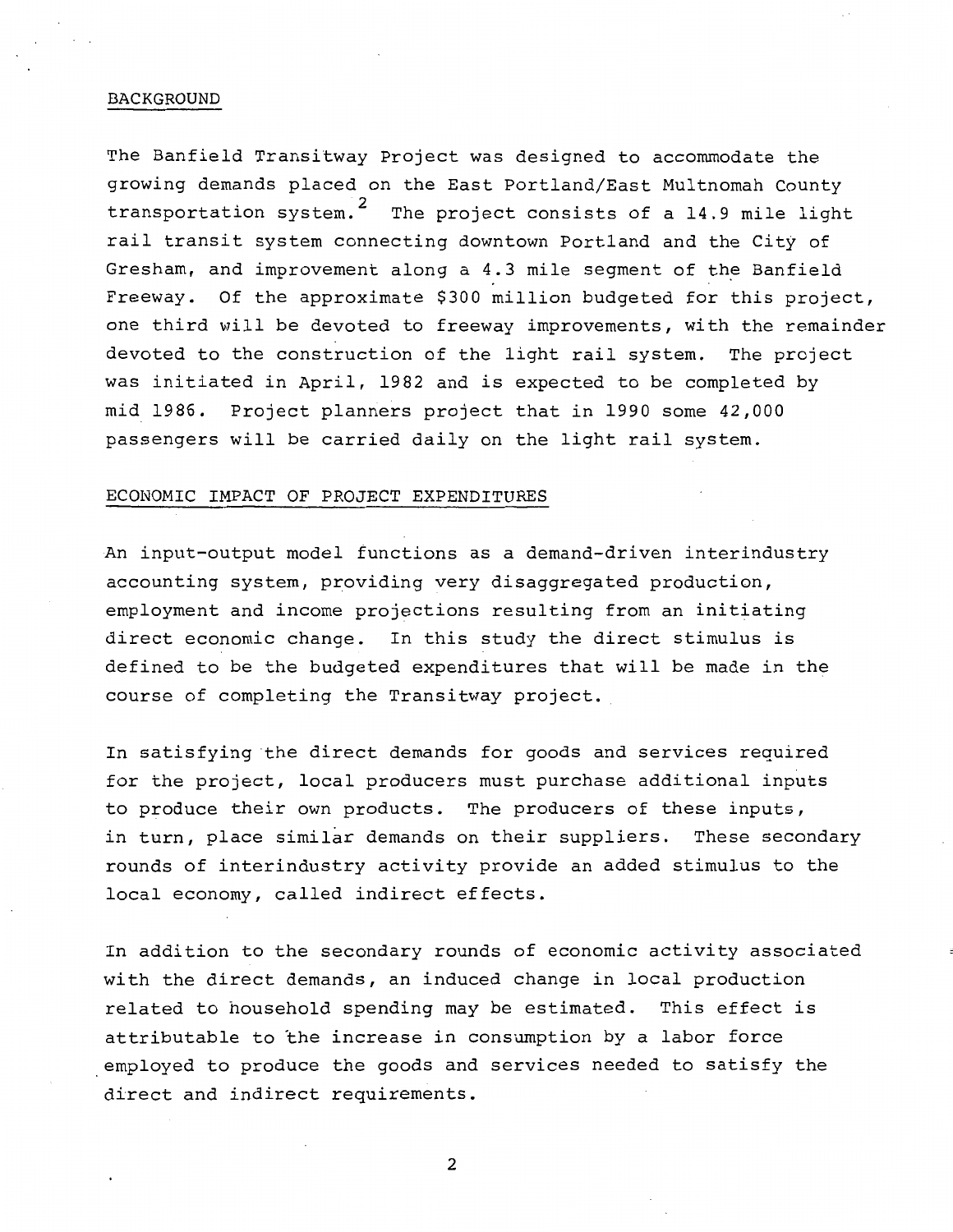#### BACKGROUND

The Banfield Transitway Project was designed to accommodate the growing demands placed on the East Portland/East Multnomah County transportation system.<sup>2</sup> The project consists of a 14.9 mile light rail transit system connecting downtown Portland and the City of Gresham, and improvement along a 4.3 mile segment of the Banfield Freeway. Of the approximate \$300 million budgeted for this project, one third will be devoted to freeway improvements, with the remainder devoted to the construction of the light rail system. The project was initiated in April, 1982 and is expected to be completed by mid 1986. Project planners project that in 1990 some 42,000 passengers will be carried daily on the light rail system.

#### ECONOMIC IMPACT OF PROJECT EXPENDITURES

An input-output model functions as a demand-driven interindustry accounting system, providing very disaggregated production, employment and income projections resulting from an initiating direct economic change. In this study the direct stimulus is defined to be the budgeted expenditures that will be made in the course of completing the Transitway project.

In satisfying the direct demands for goods and services required for the project, local producers must purchase additional inputs to produce their own products. The producers of these inputs, in turn, place similar demands on their suppliers. These secondary rounds of interindustry activity provide an added stimulus to the local economy, called indirect effects.

In addition to the secondary rounds of economic activity associated with the direct demands, an induced change in local production related to household spending may be estimated. This effect is attributable to the increase in consumption by a labor force employed to produce the goods and services needed to satisfy the direct and indirect requirements.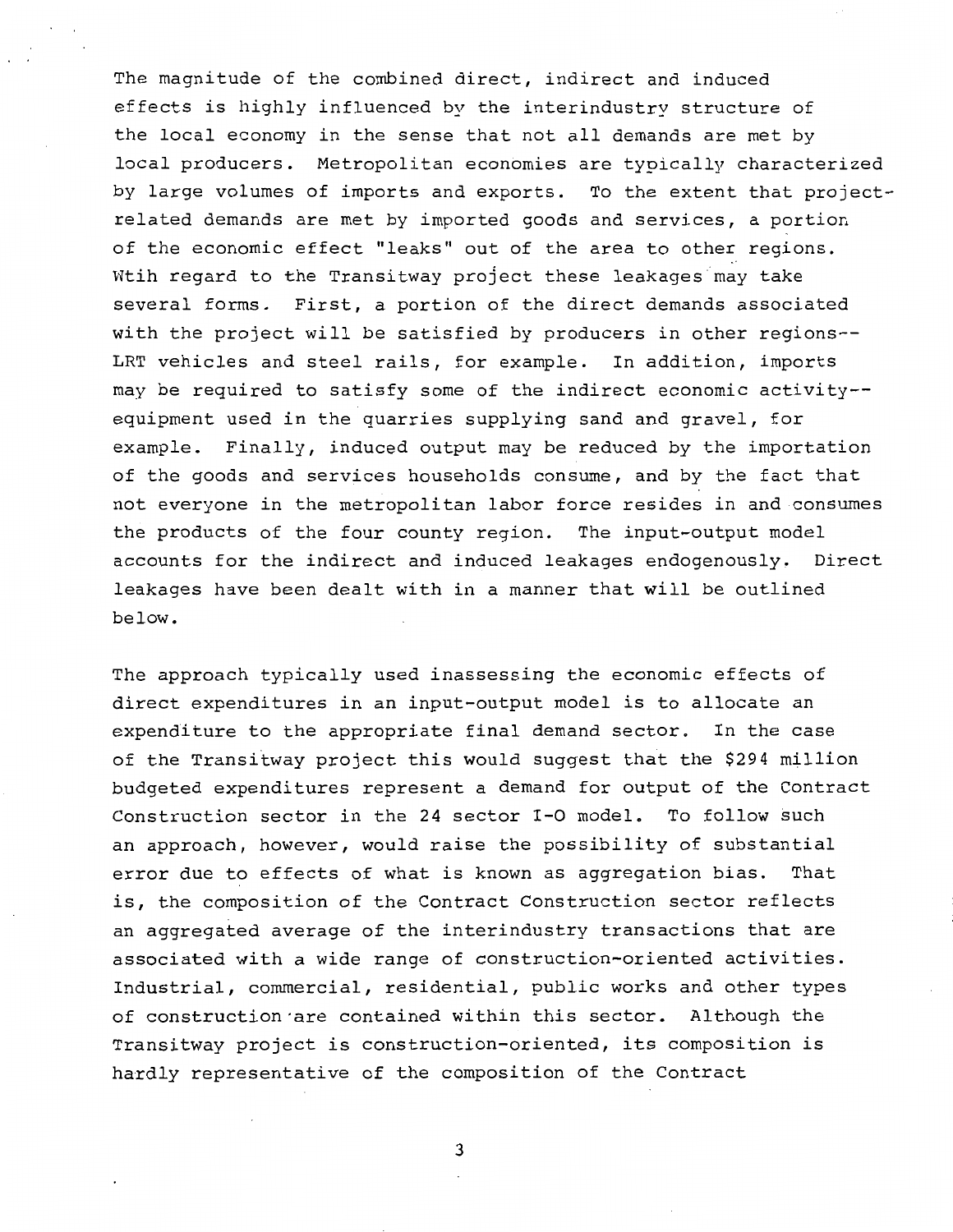The magnitude of the combined direct, indirect and induced effects is highly influenced by the interindustry structure of the local economy in the sense that not all demands are met by local producers. Metropolitan economies are typically characterized by large volumes of imports and exports. To the extent that projectrelated demands are met by imported goods and services, a portion of the economic effect "leaks" out of the area to other regions. Wtih regard to the Transitway project these leakages may take several forms. First, a portion of the direct demands associated with the project will be satisfied by producers in other regions-- LRT vehicles and steel rails, for example. In addition, imports may be required to satisfy some of the indirect economic activity- equipment used in the quarries supplying sand and gravel, for example. Finally, induced output may be reduced by the importation of the goods and services households consume, and by the fact that not everyone in the metropolitan labor force resides in and consumes the products of the four county region. The input-output model accounts for the indirect and induced leakages endogenously. Direct leakages have been dealt with in a manner that will be outlined below.

The approach typically used inassessing the economic effects of direct expenditures in an input-output model is to allocate an expenditure to the appropriate final demand sector. In the case of the Transitway project this would suggest that the \$294 million budgeted expenditures represent a demand for output of the Contract Construction sector in the 24 sector I-0 model. To follow such an approach, however, would raise the possibility of substantial error due to effects of what is known as aggregation bias. That is, the composition of the Contract Construction sector reflects an aggregated average of the interindustry transactions that are associated with a wide range of construction-oriented activities. Industrial, commercial, residential, public works and other types of construction·are contained within this sector. Although the Transitway project is construction-oriented, its composition is hardly representative of the composition of the Contract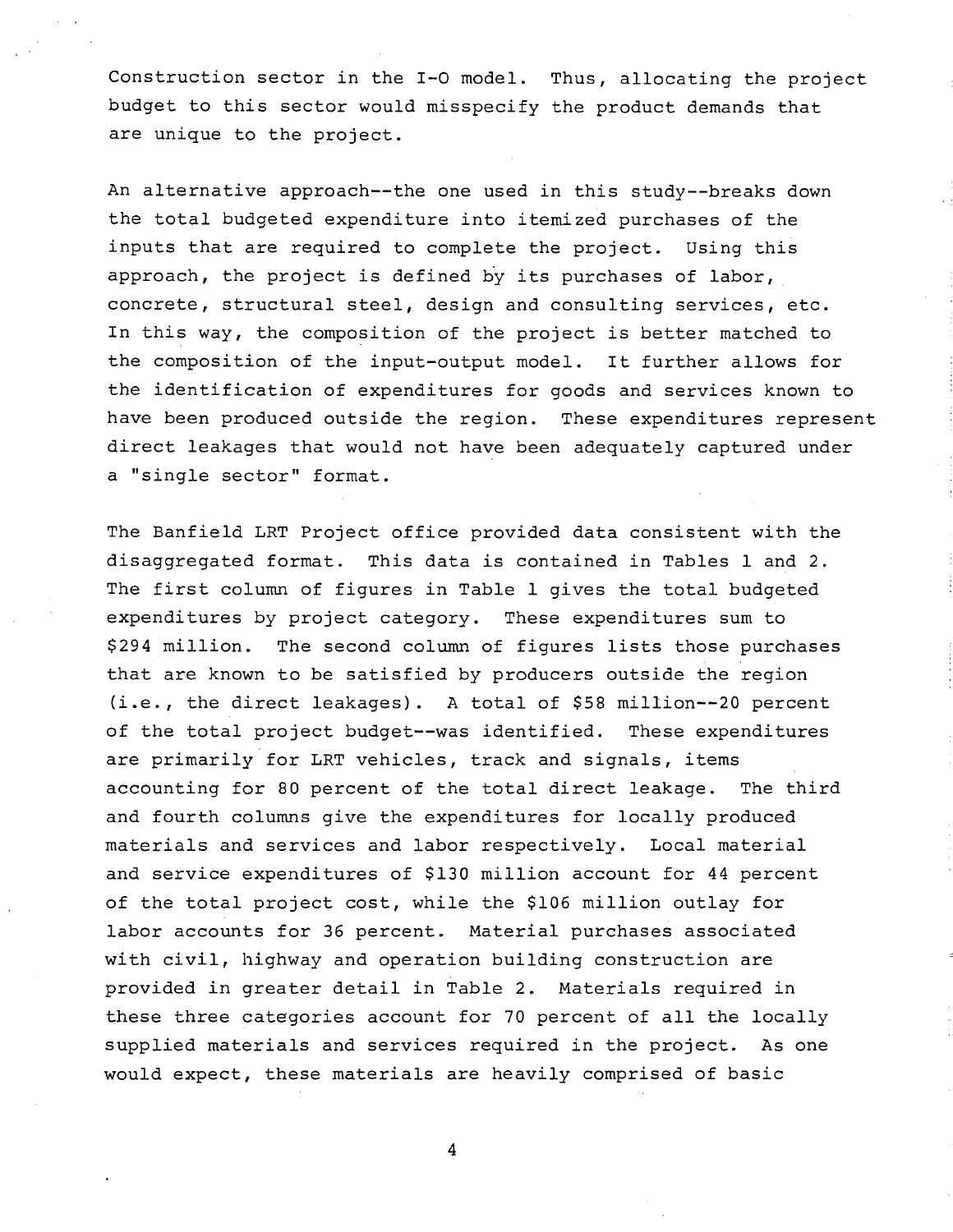Construction sector in the I-0 model. Thus, allocating the project budget to this sector would misspecify the product demands that are unique to the project.

An alternative approach--the one used in this study--breaks down the total budgeted expenditure into itemized purchases of the inputs that are required to complete the project. Using this approach, the project is defined by its purchases of labor, concrete, structural steel, design and consulting services, etc. In this way, the composition of the project is better matched to the composition of the input-output model. It further allows for the identification of expenditures for goods and services known to have been produced outside the region. These expenditures represent direct leakages that would not have been adequately captured under a "single sector" format.

The Banfield LRT Project office provided data consistent with the disaggregated format. This data is contained in Tables 1 and 2. The first column of figures in Table 1 gives the total budgeted expenditures by project category. These expenditures sum to \$294 million. The second column of figures lists those purchases that are known to be satisfied by producers outside the region (i.e., the direct leakages). A total of \$58 million--20 percent of the total project budget--was identified. These expenditures are primarily for LRT vehicles, track and signals, items accounting for 80 percent of the total direct leakage. The third and fourth columns give the expenditures for locally produced materials and services and labor respectively. Local material and service expenditures of \$130 million account for 44 percent of the total project cost, while the \$106 million outlay for labor accounts for 36 percent. Material purchases associated with civil, highway and operation building construction are provided in greater detail in Table 2. Materials required in these three categories account for 70 percent of all the locally supplied materials and services required in the project. As one would expect, these materials are heavily comprised of basic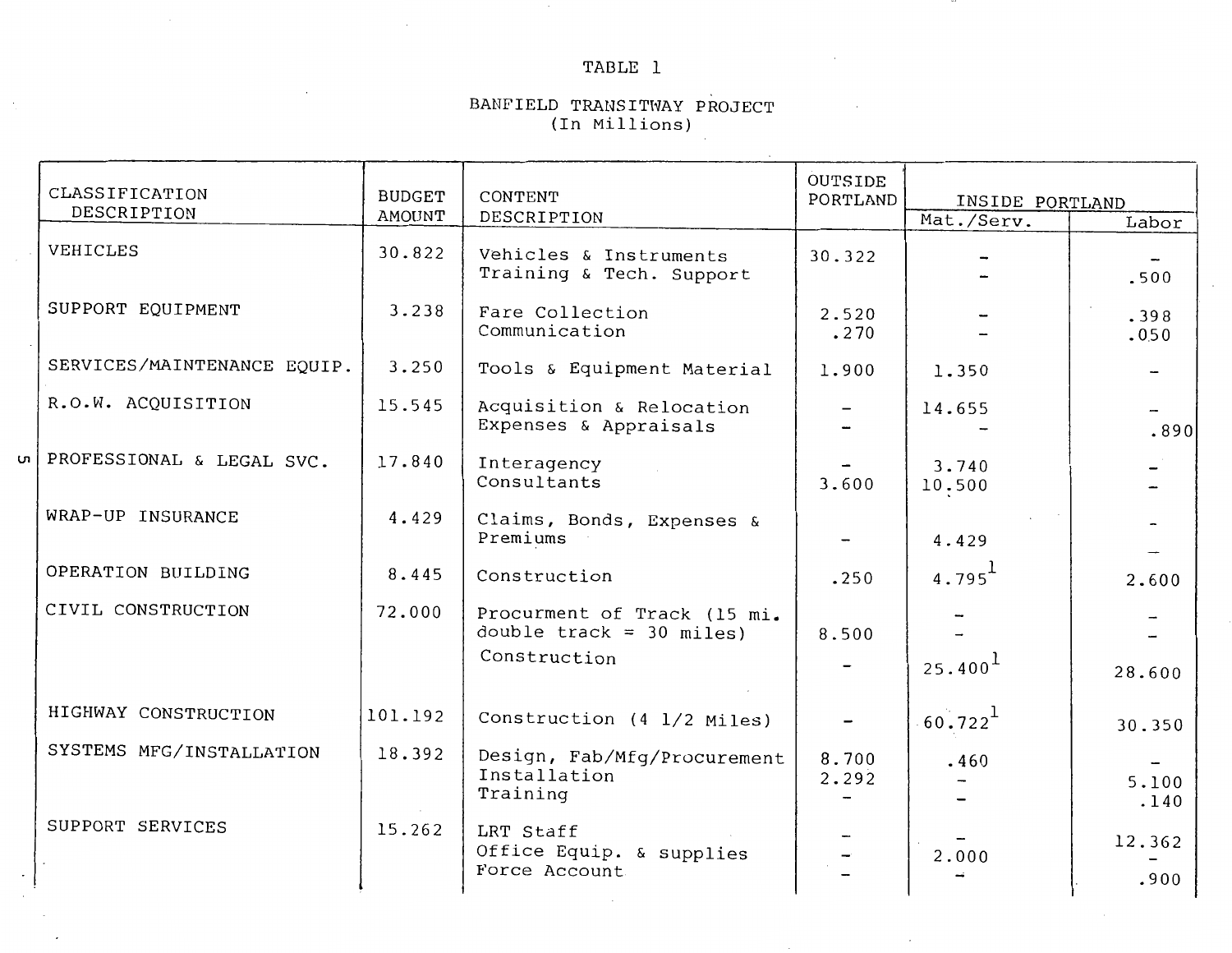## TABLE l

 $\cdots$ 

 $\epsilon$ 

#### BANFIELD TRANSITWAY PROJECT (In Millions)

| CLASSIFICATION<br>DESCRIPTION | <b>BUDGET</b><br><b>AMOUNT</b> | CONTENT<br>DESCRIPTION                                     | OUTSIDE<br>PORTLAND      | INSIDE PORTLAND<br>Mat./Serv. | Labor                    |
|-------------------------------|--------------------------------|------------------------------------------------------------|--------------------------|-------------------------------|--------------------------|
| VEHICLES                      | 30.822                         | Vehicles & Instruments<br>Training & Tech. Support         | 30.322                   |                               | .500                     |
| SUPPORT EQUIPMENT             | 3.238                          | Fare Collection<br>Communication                           | 2.520<br>.270            |                               | .398<br>.050             |
| SERVICES/MAINTENANCE EQUIP.   | 3.250                          | Tools & Equipment Material                                 | 1.900                    | 1.350                         | $\overline{\phantom{0}}$ |
| R.O.W. ACQUISITION            | 15.545                         | Acquisition & Relocation<br>Expenses & Appraisals          |                          | 14.655                        | .890                     |
| ul PROFESSIONAL & LEGAL SVC.  | 17.840                         | Interagency<br>Consultants                                 | 3.600                    | 3.740<br>10.500               |                          |
| WRAP-UP INSURANCE             | 4.429                          | Claims, Bonds, Expenses &<br>Premiums                      |                          | 4.429                         |                          |
| OPERATION BUILDING            | 8.445                          | Construction                                               | .250                     | $4.795^{\text{1}}$            | 2.600                    |
| CIVIL CONSTRUCTION            | 72.000                         | Procurment of Track (15 mi.<br>double $track = 30 miles$ ) | 8.500                    |                               |                          |
|                               |                                | Construction                                               |                          | 25.400 <sup>1</sup>           | 28.600                   |
| HIGHWAY CONSTRUCTION          | 101.192                        | Construction (4 1/2 Miles)                                 | $\overline{\phantom{m}}$ | $60.722^{1}$                  | 30.350                   |
| SYSTEMS MFG/INSTALLATION      | 18.392                         | Design, Fab/Mfg/Procurement<br>Installation<br>Training    | 8.700<br>2.292           | .460                          | 5.100<br>.140            |
| SUPPORT SERVICES              | 15.262                         | LRT Staff<br>Office Equip. & supplies<br>Force Account     |                          | 2.000                         | 12.362<br>.900           |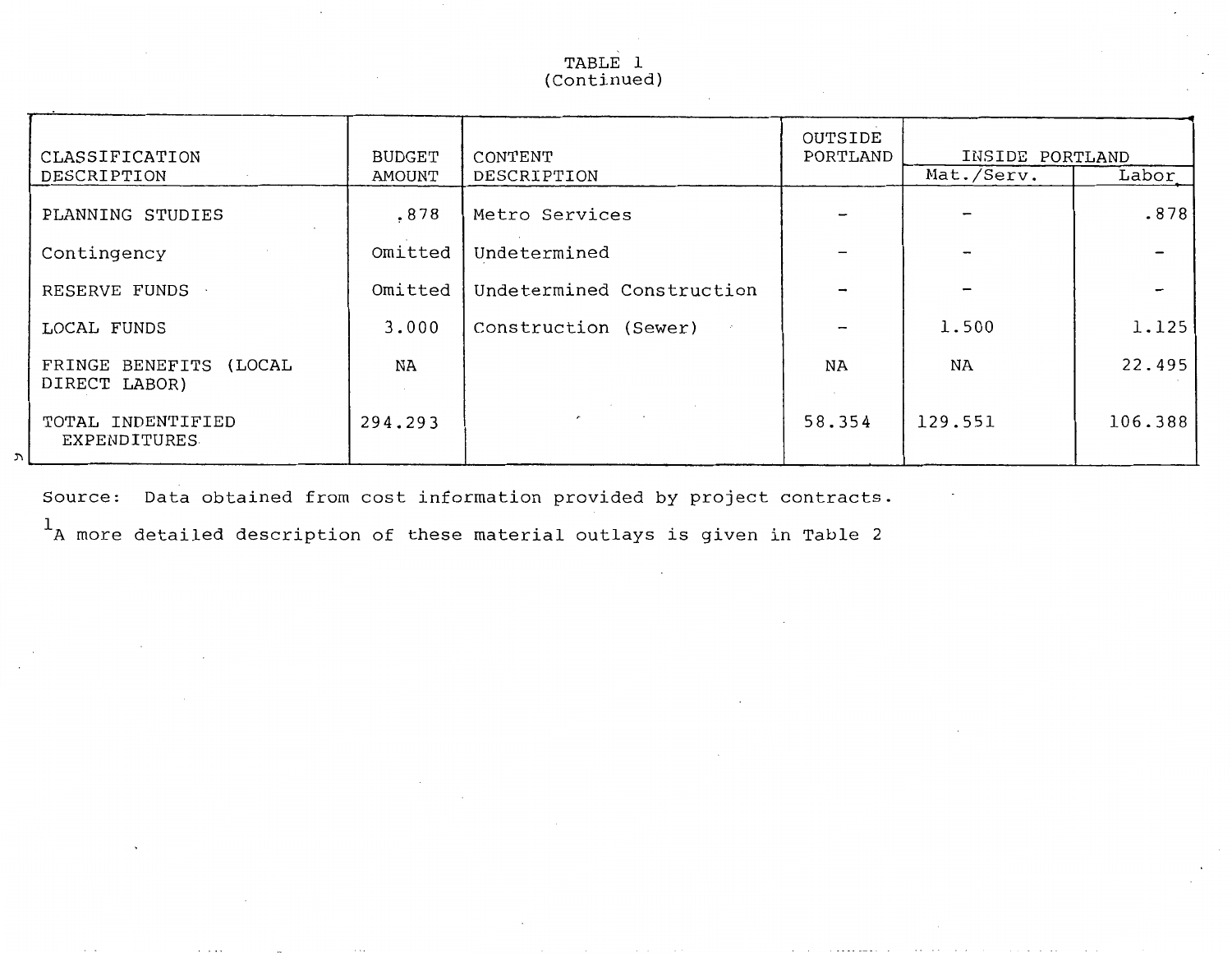## TABLE 1 (Continued)

| CLASSIFICATION                                  | <b>BUDGET</b> | CONTENT                   | OUTSIDE<br>PORTLAND | INSIDE PORTLAND |         |
|-------------------------------------------------|---------------|---------------------------|---------------------|-----------------|---------|
| DESCRIPTION                                     | AMOUNT        | DESCRIPTION               |                     | Mat./Serv.      | Labor   |
| PLANNING STUDIES                                | .878          | Metro Services            |                     |                 | .878    |
| Contingency                                     | Omitted       | Undetermined              |                     |                 |         |
| RESERVE FUNDS                                   | Omitted       | Undetermined Construction |                     |                 |         |
| LOCAL FUNDS                                     | 3,000         | Construction (Sewer)      |                     | 1.500           | 1.125   |
| FRINGE BENEFITS<br>(LOCAL<br>DIRECT LABOR)      | NA            |                           | <b>NA</b>           | NA              | 22.495  |
| TOTAL INDENTIFIED<br><b>EXPENDITURES</b><br>ן ע | 294.293       | $\overline{ }$            | 58.354              | 129.551         | 106.388 |

Source: Data obtained from cost information provided by project contracts.

 $1_A$  more detailed description of these material outlays is given in Table 2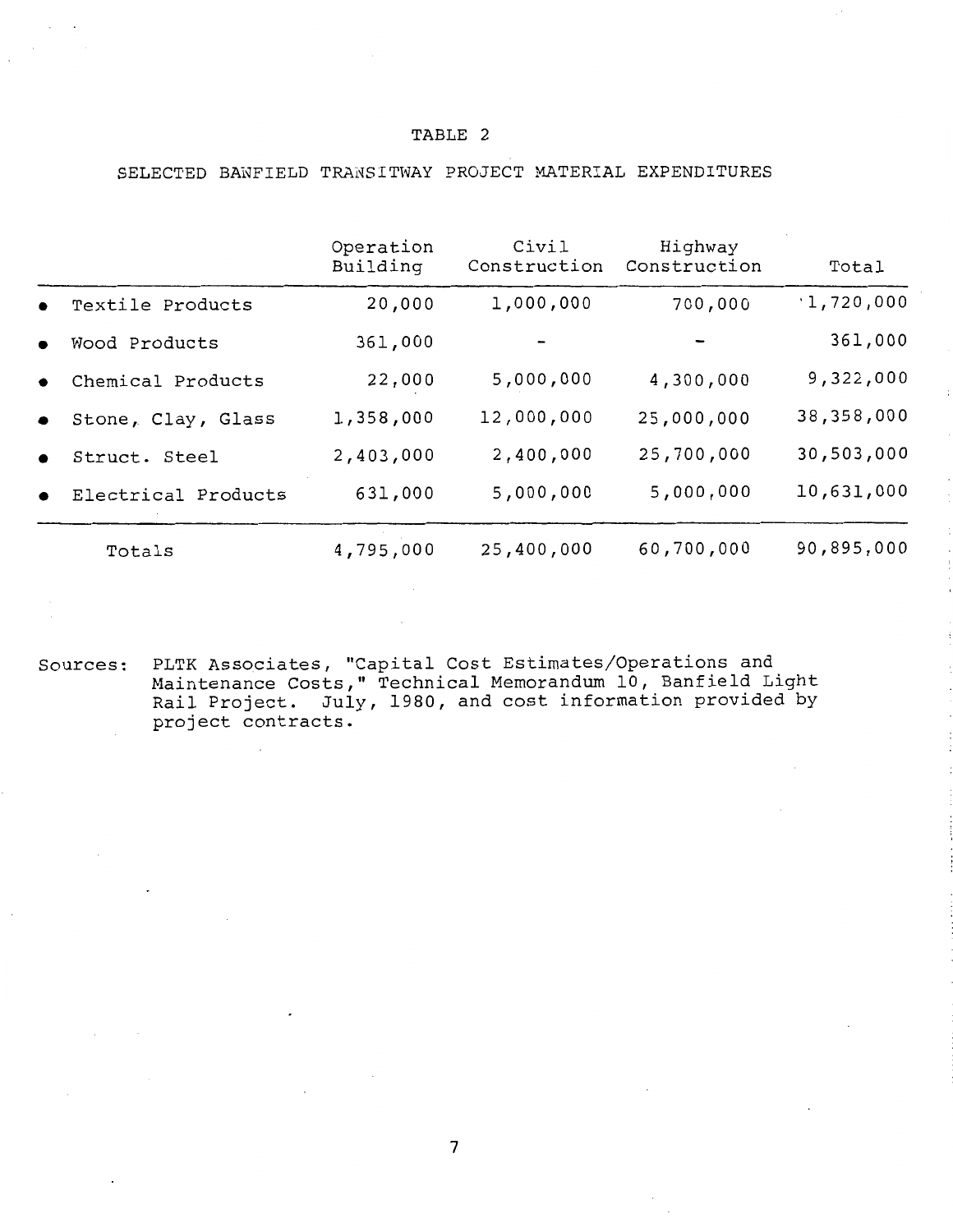## SELECTED BANFIELD TRANSITWAY PROJECT MATERIAL EXPENDITURES

|           |                     | Operation<br>Building | Civil<br>Construction | Highway<br>Construction | Total      |
|-----------|---------------------|-----------------------|-----------------------|-------------------------|------------|
| $\bullet$ | Textile Products    | 20,000                | 1,000,000             | 700,000                 | 1,720,000  |
| $\bullet$ | Wood Products       | 361,000               |                       |                         | 361,000    |
| $\bullet$ | Chemical Products   | 22,000                | 5,000,000             | 4,300,000               | 9,322,000  |
| $\bullet$ | Stone, Clay, Glass  | 1,358,000             | 12,000,000            | 25,000,000              | 38,358,000 |
| $\bullet$ | Struct. Steel       | 2,403,000             | 2,400,000             | 25,700,000              | 30,503,000 |
| $\bullet$ | Electrical Products | 631,000               | 5,000,000             | 5,000,000               | 10,631,000 |
|           | Totals              | 4,795,000             | 25,400,000            | 60,700,000              | 90,895,000 |

Sources: PLTK Associates, "Capital Cost Estimates/Operations and Maintenance Costs," Technical Memorandum 10, Banfield Light Rail Project. July, 1980, and cost information provided by project contracts.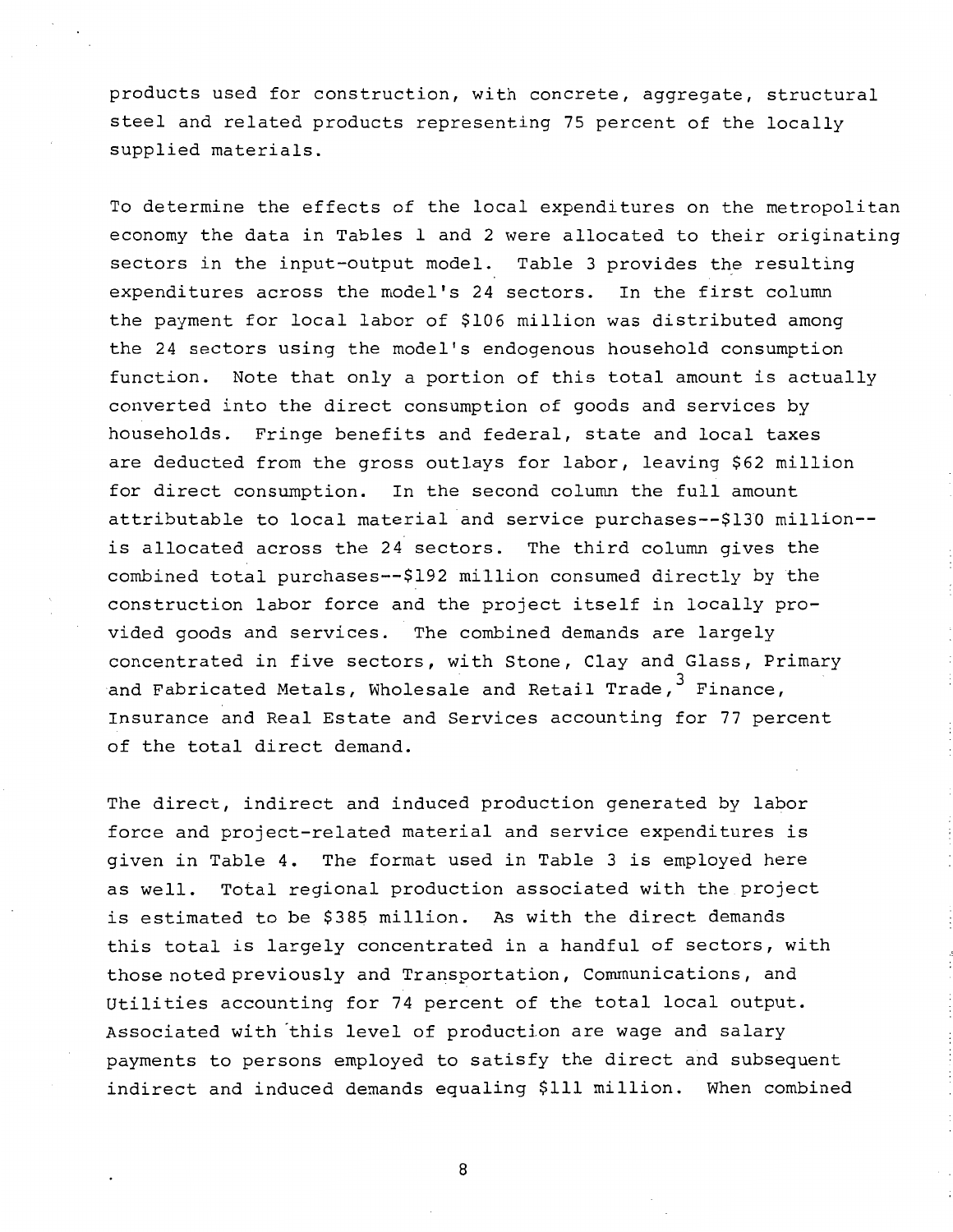products used for construction, with concrete, aggregate, structural steel and related products representing 75 percent of the locally supplied materials.

To determine the effects of the local expenditures on the metropolitan economy the data in Tables 1 and 2 were allocated to their originating sectors in the input-output model. Table 3 provides the resulting expenditures across the model's 24 sectors. In the first column the payment for local labor of \$106 million was distributed among the 24 sectors using the model's endogenous household consumption function. Note that only a portion of this total amount is actually converted into the direct consumption of goods and services by households. Fringe benefits and federal, state and local taxes are deducted from the gross outlays for labor, leaving \$62 million for direct consumption. In the second column the full amount attributable to local material and service purchases--\$130 million- is allocated across the 24 sectors. The third column gives the combined total purchases--\$192 million consumed directly by the construction labor force and the project itself in locally provided goods and services. The combined demands are largely concentrated in five sectors, with Stone, Clay and Glass, Primary and Fabricated Metals, Wholesale and Retail Trade,  $^3$  Finance, Insurance and Real Estate and Services accounting for 77 percent of the total direct demand.

The direct, indirect and induced production generated by labor force and project-related material and service expenditures is given in Table 4. The format used in Table 3 is employed here as well. Total regional production associated with the project is estimated to be \$385 million. As with the direct demands this total is largely concentrated in a handful of sectors, with those noted previously and Transportation, Communications, and Utilities accounting for 74 percent of the total local output. Associated with this level of production are wage and salary payments to persons employed to satisfy the direct and subsequent indirect and induced demands equaling **\$111** million. When combined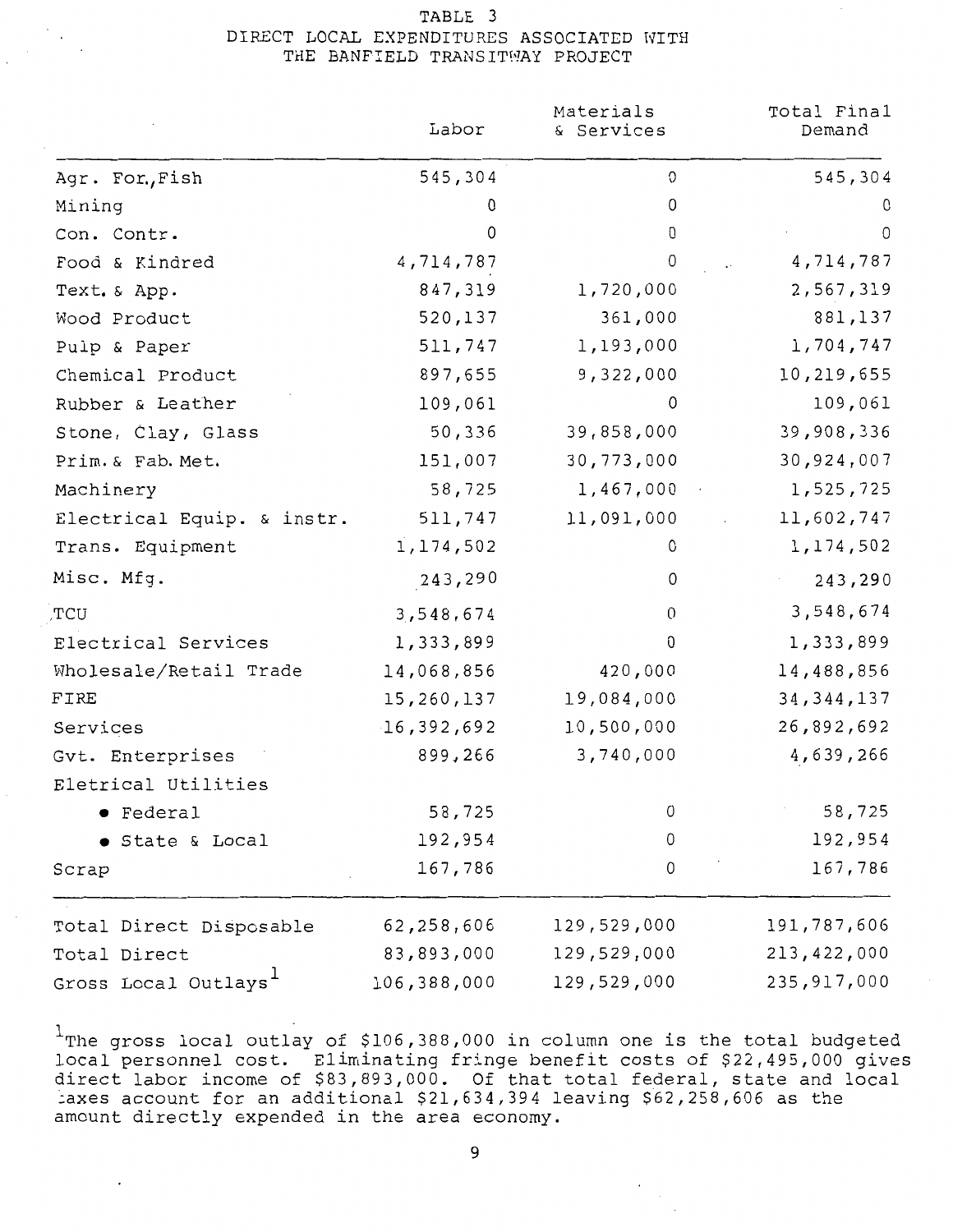## TABLE 3 DIRECT LOCAL EXPENDITURES ASSOCIATED WITH THE BANFIELD TRANSITWAY PROJECT

|                                  | Labor       | Materials<br>& Services | Total Final<br>Demand |
|----------------------------------|-------------|-------------------------|-----------------------|
| Agr. For., Fish                  | 545,304     | 0                       | 545,304               |
| Mining                           | 0           | 0                       | 0                     |
| Con. Contr.                      | 0           | 0                       | 0                     |
| Food & Kindred                   | 4,714,787   | 0                       | 4,714,787             |
| Text. & App.                     | 847,319     | 1,720,000               | 2,567,319             |
| Wood Product                     | 520,137     | 361,000                 | 881,137               |
| Pulp & Paper                     | 511,747     | 1,193,000               | 1,704,747             |
| Chemical Product                 | 897,655     | 9,322,000               | 10,219,655            |
| Rubber & Leather                 | 109,061     | 0                       | 109,061               |
| Stone, Clay, Glass               | 50,336      | 39,858,000              | 39,908,336            |
| Prim. & Fab. Met.                | 151,007     | 30,773,000              | 30,924,007            |
| Machinery                        | 58,725      | 1,467,000               | 1,525,725             |
| Electrical Equip. & instr.       | 511,747     | 11,091,000              | 11,602,747            |
| Trans. Equipment                 | 1,174,502   | 0                       | 1,174,502             |
| Misc. Mfg.                       | 243,290     | 0                       | 243,290               |
| TCU                              | 3,548,674   | $\mathbf{0}$            | 3,548,674             |
| Electrical Services              | 1,333,899   | 0                       | 1,333,899             |
| Wholesale/Retail Trade           | 14,068,856  | 420,000                 | 14,488,856            |
| FIRE                             | 15,260,137  | 19,084,000              | 34, 344, 137          |
| Services                         | 16,392,692  | 10,500,000              | 26,892,692            |
| Gvt. Enterprises                 | 899,266     | 3,740,000               | 4,639,266             |
| Eletrical Utilities              |             |                         |                       |
| Federal                          | 58,725      | 0                       | 58,725                |
| State & Local                    | 192,954     | 0                       | 192,954               |
| Scrap                            | 167,786     | 0                       | 167,786               |
| Total Direct Disposable          | 62,258,606  | 129,529,000             | 191,787,606           |
| Total Direct                     | 83,893,000  | 129,529,000             | 213,422,000           |
| Gross Local Outlays <sup>1</sup> | 106,388,000 | 129,529,000             | 235,917,000           |

 $1$ The gross local outlay of \$106,388,000 in column one is the total budgeted local personnel cost. Eliminating fringe benefit costs of \$22,495,000 gives direct labor income of \$83,893,000. Of that total federal, state and local ~axes account for an additional \$21,634,394 leaving \$62,258,606 as the amount directly expended in the area economy.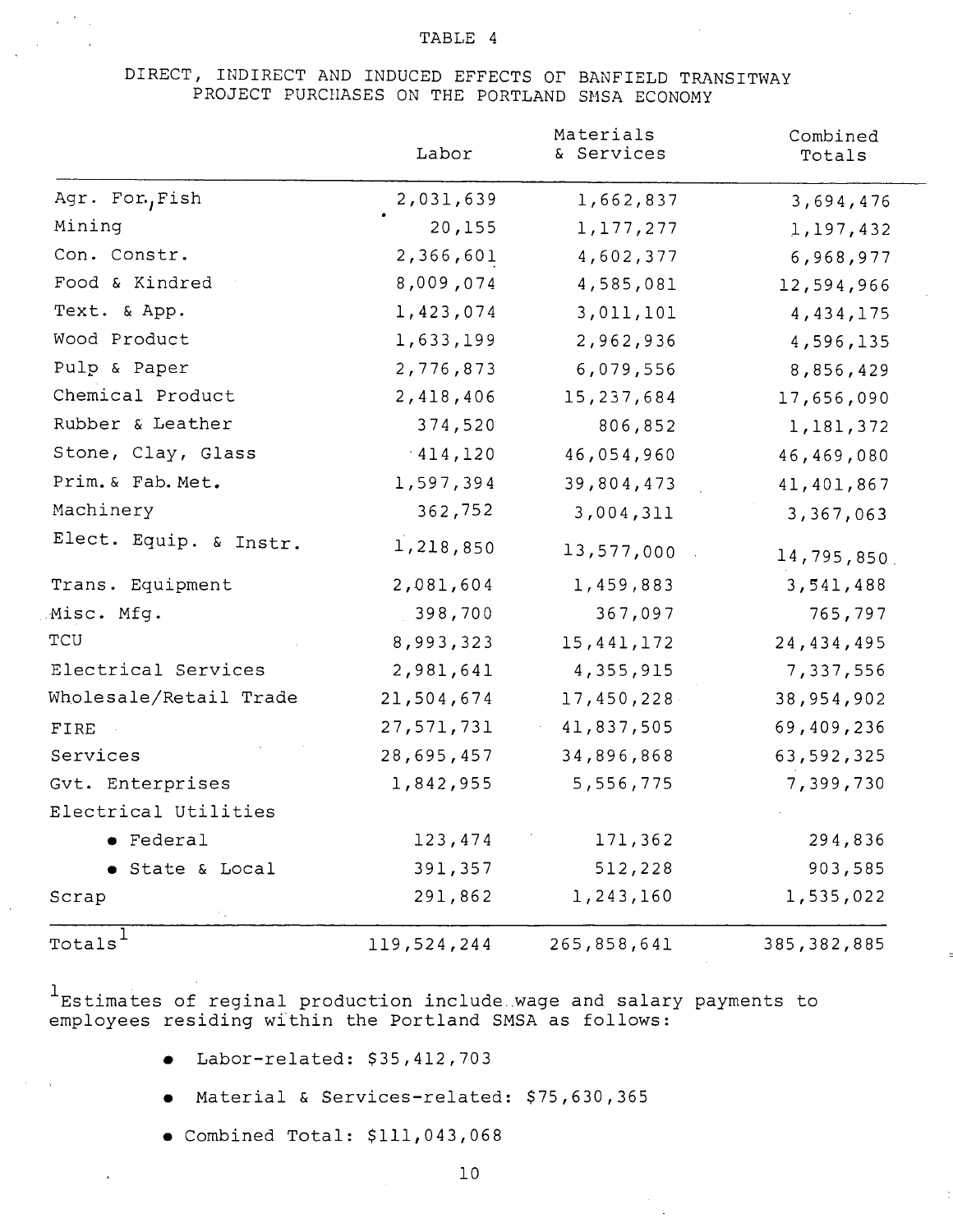## DIRECT, INDIRECT AND INDUCED EFFECTS OF BANFIELD TRANSITWAY PROJECT PURCHASES ON THE PORTLAND SMSA ECONOMY

|                        | Labor       | Materials<br>& Services | Combined<br>Totals |
|------------------------|-------------|-------------------------|--------------------|
| Agr. For, Fish         | 2,031,639   | 1,662,837               | 3,694,476          |
| Mining                 | 20,155      | 1,177,277               | 1,197,432          |
| Con. Constr.           | 2,366,601   | 4,602,377               | 6,968,977          |
| Food & Kindred         | 8,009,074   | 4,585,081               | 12,594,966         |
| Text. & App.           | 1,423,074   | 3,011,101               | 4,434,175          |
| Wood Product           | 1,633,199   | 2,962,936               | 4,596,135          |
| Pulp & Paper           | 2,776,873   | 6,079,556               | 8,856,429          |
| Chemical Product       | 2,418,406   | 15,237,684              | 17,656,090         |
| Rubber & Leather       | 374,520     | 806,852                 | 1,181,372          |
| Stone, Clay, Glass     | 414,120     | 46,054,960              | 46,469,080         |
| Prim. & Fab. Met.      | 1,597,394   | 39,804,473              | 41,401,867         |
| Machinery              | 362,752     | 3,004,311               | 3,367,063          |
| Elect. Equip. & Instr. | 1,218,850   | 13,577,000              | 14,795,850         |
| Trans. Equipment       | 2,081,604   | 1,459,883               | 3,541,488          |
| Misc. Mfg.             | 398,700     | 367,097                 | 765,797            |
| TCU                    | 8,993,323   | 15,441,172              | 24,434,495         |
| Electrical Services    | 2,981,641   | 4,355,915               | 7,337,556          |
| Wholesale/Retail Trade | 21,504,674  | 17,450,228              | 38,954,902         |
| FIRE                   | 27,571,731  | 41,837,505              | 69,409,236         |
| Services               | 28,695,457  | 34,896,868              | 63,592,325         |
| Gvt. Enterprises       | 1,842,955   | 5,556,775               | 7,399,730          |
| Electrical Utilities   |             |                         |                    |
| • Federal              | 123,474     | 171,362                 | 294,836            |
| State & Local          | 391,357     | 512,228                 | 903,585            |
| Scrap                  | 291,862     | 1,243,160               | 1,535,022          |
| Totals $^1$            | 119,524,244 | 265,858,641             | 385, 382, 885      |

 $^{\rm 1}$ Estimates of reginal production include wage and salary payments to employees residing within the Portland SMSA as follows:

- Labor-related: \$35,412,703
- Material & Services-related: \$75,630,365
- Combined Total: \$111,043,068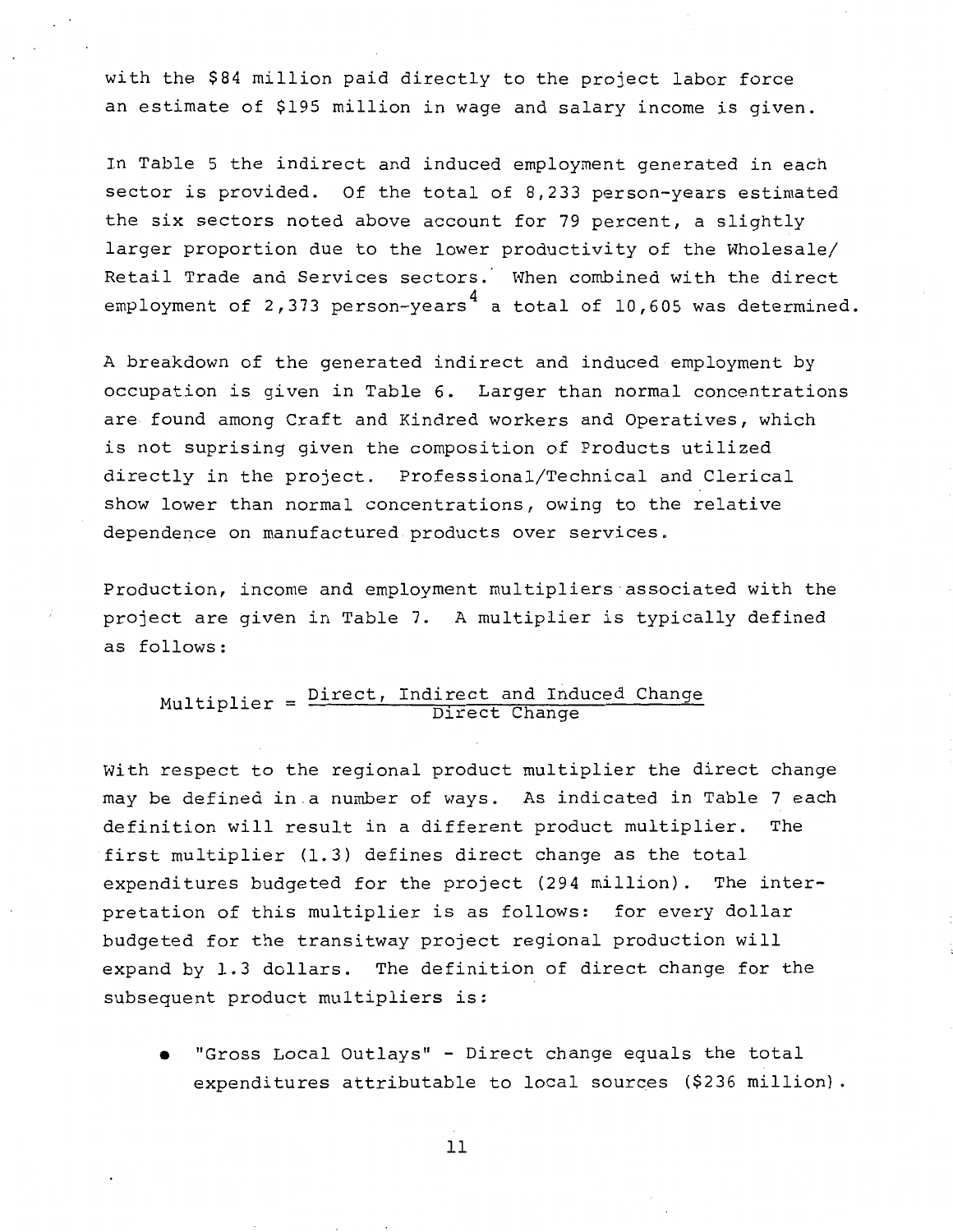with the \$84 million paid directly to the project labor force an estimate of \$195 million in wage and salary income is given.

In Table 5 the indirect and induced employment generated in each sector is provided. Of the total of 8,233 person-years estimated the six sectors noted above account for 79 percent, a slightly larger proportion due to the lower productivity of the Wholesale/ Retail Trade and Services sectors. When combined with the direct employment of 2,373 person-years $^4$  a total of 10,605 was determined.

A breakdown of the generated indirect and induced employment by occupation is given in Table 6. Larger than normal concentrations are found among Craft and Kindred workers and Operatives, which is not suprising given the composition of Products utilized directly in the project. Professional/Technical and Clerical show lower than normal concentrations, owing to the relative dependence on manufactured products over services.

Production, income and employment multipliers associated with the project are given in Table 7. A multiplier is typically defined as follows:

# $\texttt{Multiplier} = \frac{\texttt{Direct, Indirect and Induced Change}}{\texttt{Direct Change}}$

With respect to the regional product multiplier the direct change may be defined in a number of ways. As indicated in Table 7 each definition will result in a different product multiplier. The first multiplier (1.3) defines direct change as the total expenditures budgeted for the project (294 million). The interpretation of this multiplier is as follows: for every dollar budgeted for the transitway project regional production will expand by 1.3 dollars. The definition of direct change for the subsequent product multipliers is:

• "Gross Local Outlays" - Direct change equals the total expenditures attributable to local sources (\$236 million).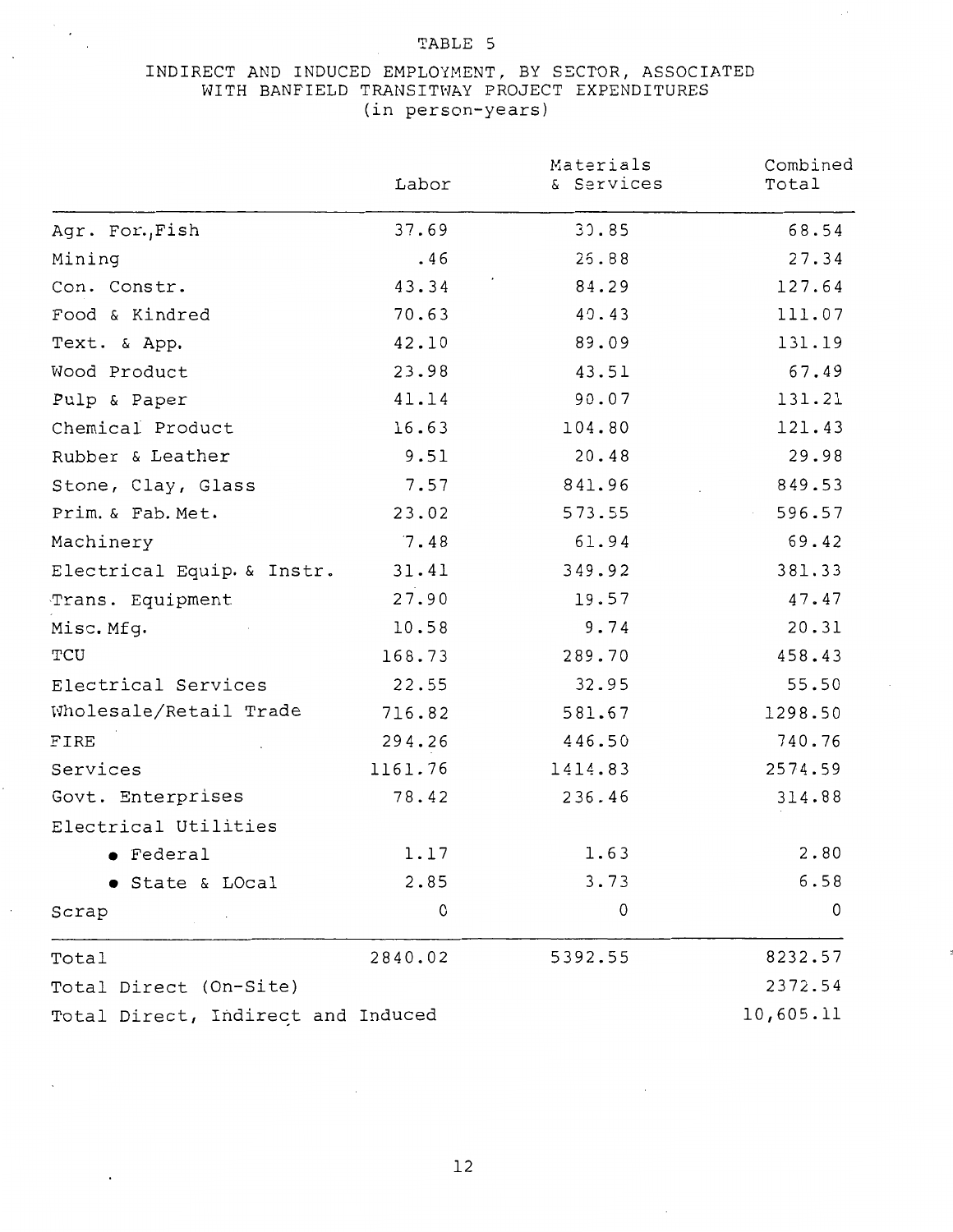$\mathcal{F}_{\mathcal{A}}$ 

### INDIRECT AND INDUCED EMPLOYMENT, BY SECTOR, ASSOCIATED WITH BANFIELD TRANSITWAY PROJECT EXPENDITURES (in person-years)

|                                    | Labor   | Materials<br>& Services | Combined<br>Total |
|------------------------------------|---------|-------------------------|-------------------|
| Agr. For., Fish                    | 37.69   | 30.85                   | 68.54             |
| Mining                             | .46     | 25.88                   | 27.34             |
| Con. Constr.                       | 43.34   | 84.29                   | 127.64            |
| Food & Kindred                     | 70.63   | 40.43                   | 111.07            |
| Text. & App.                       | 42.10   | 89.09                   | 131.19            |
| Wood Product                       | 23.98   | 43.51                   | 67.49             |
| Pulp & Paper                       | 41.14   | 90.07                   | 131.21            |
| Chemical Product                   | 16.63   | 104.80                  | 121.43            |
| Rubber & Leather                   | 9.51    | 20.48                   | 29.98             |
| Stone, Clay, Glass                 | 7.57    | 841.96                  | 849.53            |
| Prim. & Fab. Met.                  | 23.02   | 573.55                  | 596.57            |
| Machinery                          | 7.48    | 61.94                   | 69.42             |
| Electrical Equip. & Instr.         | 31.41   | 349.92                  | 381.33            |
| Trans. Equipment                   | 27.90   | 19.57                   | 47.47             |
| Misc. Mfg.                         | 10.58   | 9.74                    | 20.31             |
| TCU                                | 168.73  | 289.70                  | 458.43            |
| Electrical Services                | 22.55   | 32.95                   | 55.50             |
| Wholesale/Retail Trade             | 716.82  | 581.67                  | 1298.50           |
| FIRE                               | 294.26  | 446.50                  | 740.76            |
| Services                           | 1161.76 | 1414.83                 | 2574.59           |
| Govt. Enterprises                  | 78.42   | 236.46                  | 314.88            |
| Electrical Utilities               |         |                         |                   |
| Federal                            | 1.17    | 1.63                    | 2.80              |
| <b>State &amp; LOcal</b>           | 2.85    | 3.73                    | 6.58              |
| Scrap                              | 0       | 0                       | 0                 |
| Total                              | 2840.02 | 5392.55                 | 8232.57           |
| Total Direct (On-Site)             |         |                         | 2372.54           |
| Total Direct, Indirect and Induced |         |                         | 10,605.11         |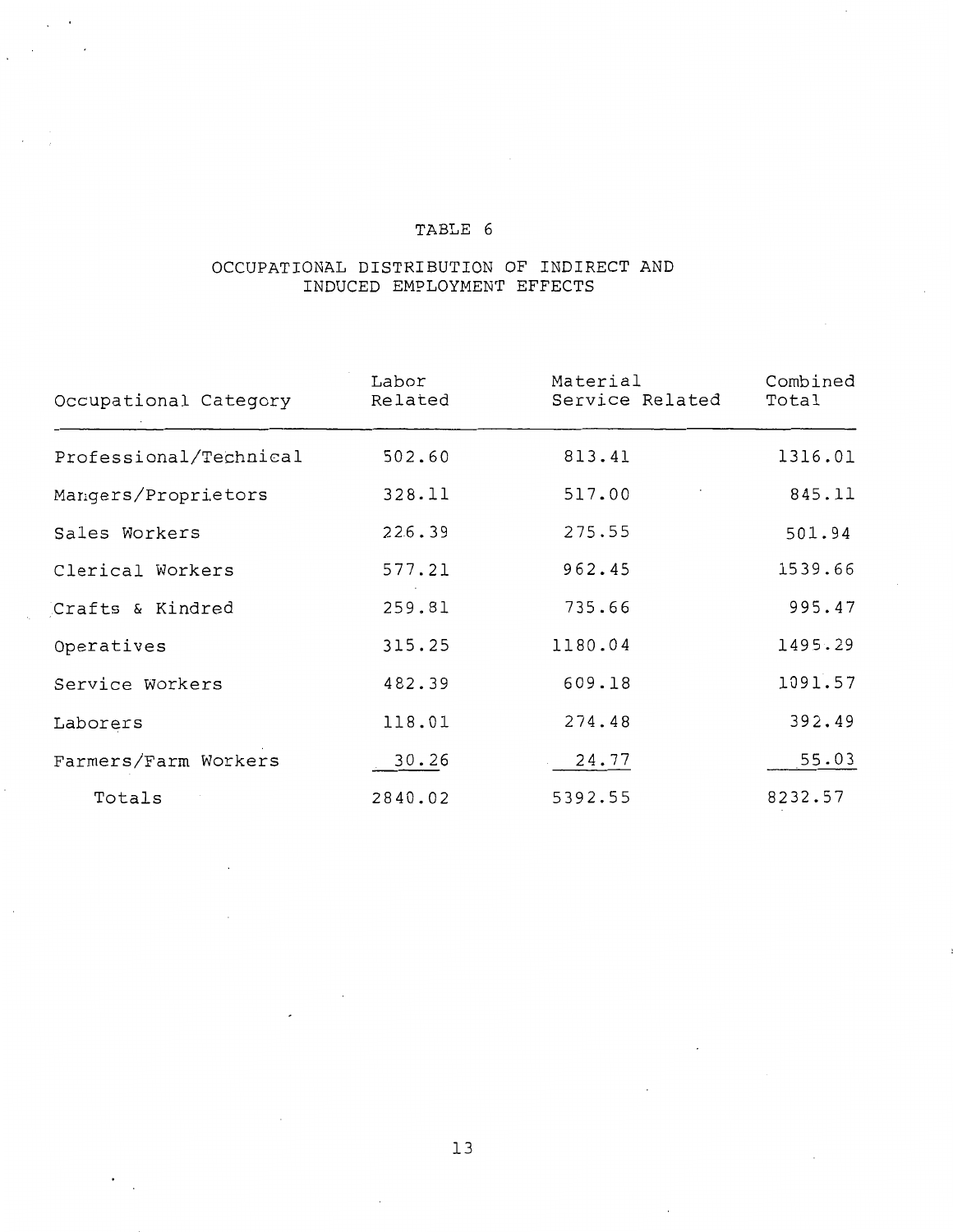### OCCUPATIONAL DISTRIBUTION OF INDIRECT AND INDUCED EMPLOYMENT EFFECTS

| Occupational Category  | Labor<br>Related | Material<br>Service Related | Combined<br>Total |
|------------------------|------------------|-----------------------------|-------------------|
| Professional/Technical | 502.60           | 813.41                      | 1316.01           |
| Mangers/Proprietors    | 328.11           | 517.00                      | 845.11            |
| Sales Workers          | 226.39           | 275.55                      | 501.94            |
| Clerical Workers       | 577.21           | 962.45                      | 1539.66           |
| Crafts & Kindred       | 259.81           | 735.66                      | 995.47            |
| Operatives             | 315.25           | 1180.04                     | 1495.29           |
| Service Workers        | 482.39           | 609.18                      | 1091.57           |
| Laborers               | 118.01           | 274.48                      | 392.49            |
| Farmers/Farm Workers   | 30.26            | 24.77                       | 55.03             |
| Totals                 | 2840.02          | 5392.55                     | 8232.57           |

 $\ddot{\phantom{0}}$ 

 $\overline{\phantom{a}}$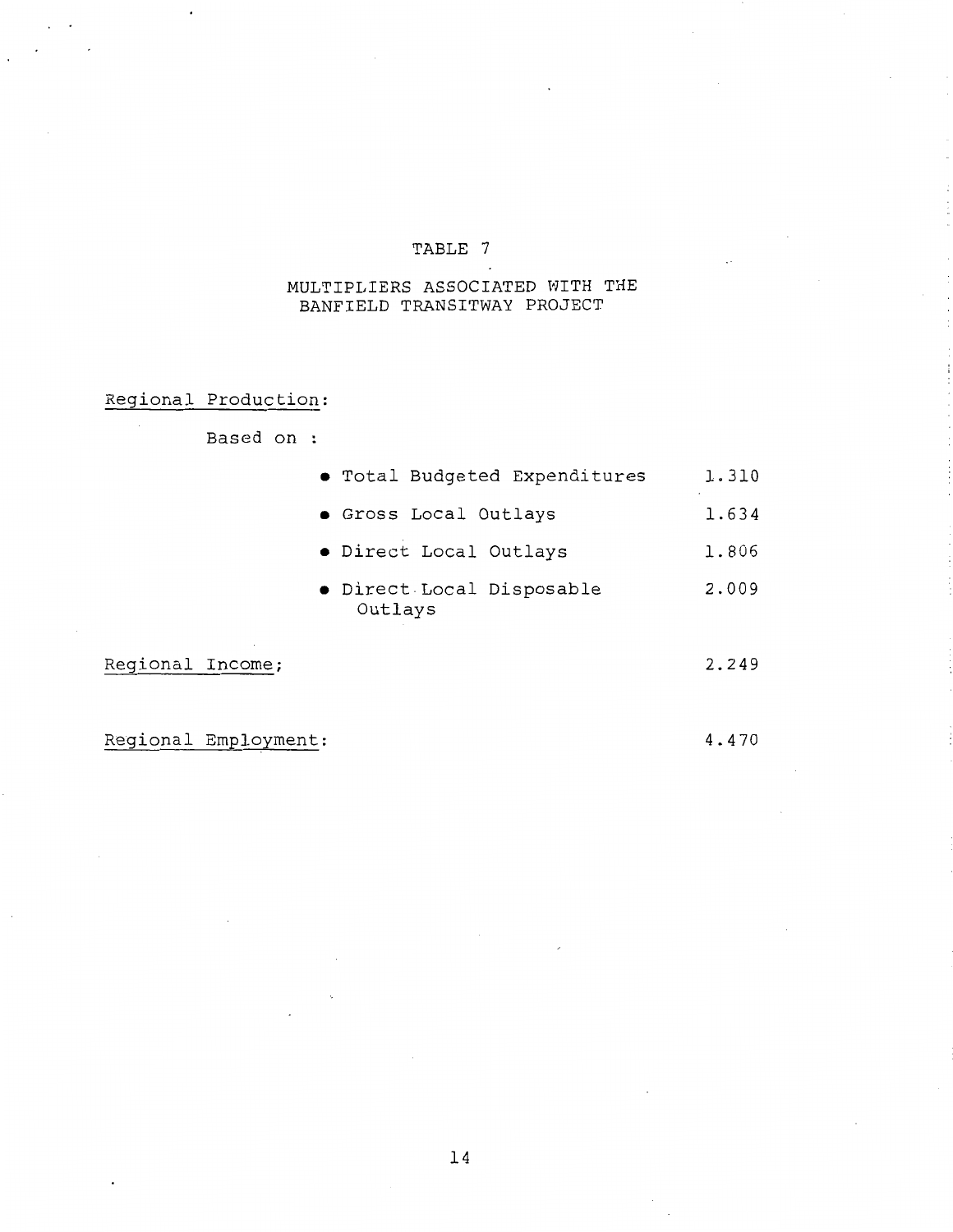## MULTIPLIERS ASSOCIATED WITH THE BANFIELD TRANSITWAY PROJECT

Regional Production:

Based on :

|              | • Total Budgeted Expenditures        | 1.310 |
|--------------|--------------------------------------|-------|
|              | • Gross Local Outlays                | 1.634 |
|              | · Direct Local Outlays               | 1.806 |
|              | . Direct Local Disposable<br>Outlays | 2.009 |
| ٠<br>Income; |                                      | 2.249 |

Regional Income;

4.470

Regional Employment: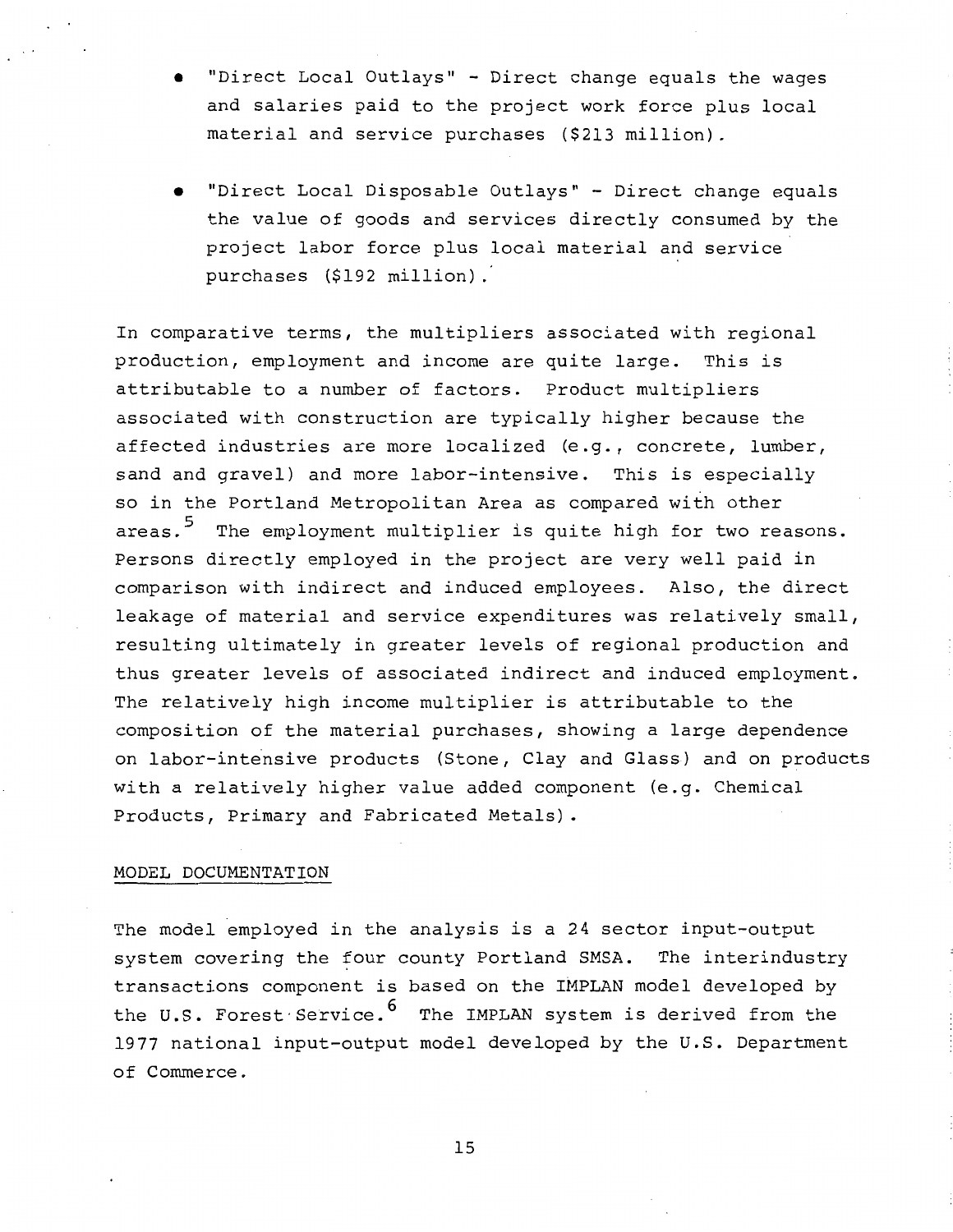- "Direct Local Outlays'' Direct change equals the wages and salaries paid to the project work force plus local material and service purchases (\$213 million).
- "Direct Local Disposable Outlays'' Direct change equals the value of goods and services directly consumed by the project labor force plus local material and service purchases (\$192 million) .

In comparative terms, the multipliers associated with regional production, employment and income are quite large. This is attributable to a number of factors. Product multipliers associated with construction are typically higher because the affected industries are more localized (e.g., concrete, lumber, sand and gravel) and more labor-intensive. This is especially so in the Portland Metropolitan Area as compared with other areas.<sup>5</sup> The employment multiplier is quite high for two reasons. Persons directly employed in the project are very well paid in comparison with indirect and induced employees. Also, the direct leakage of material and service expenditures was relatively small, resulting ultimately in greater levels of regional production and thus greater levels of associated indirect and induced employment. The relatively high income multiplier is attributable to the composition of the material purchases, showing a large dependence on labor-intensive products (Stone, Clay and Glass) and on products with a relatively higher value added component (e.g. Chemical Products, Primary and Fabricated Metals).

## MODEL DOCUMENTATION

The model employed in the analysis is a 24 sector input-output system covering the four county Portland SMSA. The interindustry transactions component is based on the IMPLAN model developed by the U.S. Forest Service.<sup>6</sup> The IMPLAN system is derived from the 1977 national input-output model developed by the U.S. Department of Commerce.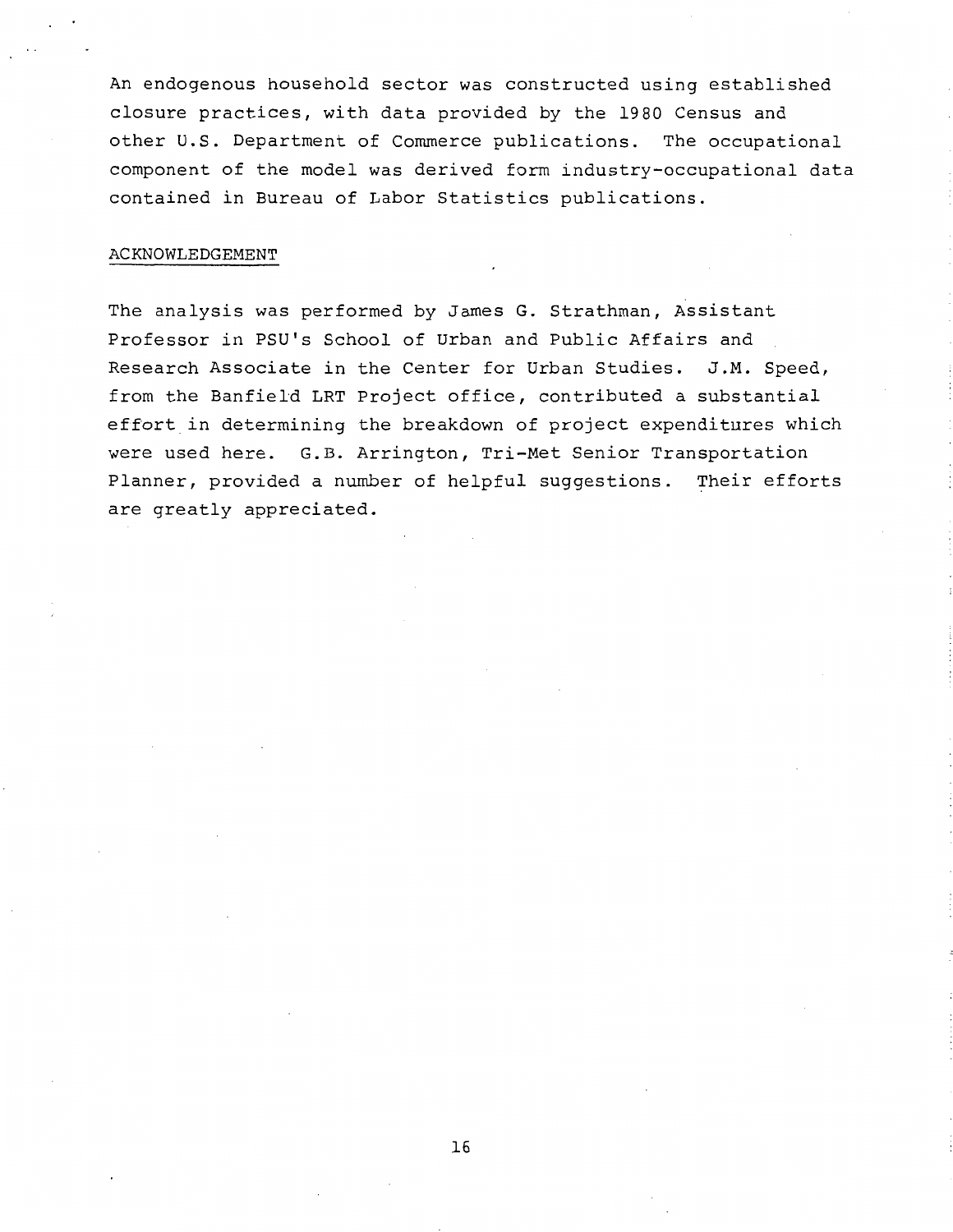An endogenous household sector was constructed using established closure practices, with data provided by the 1980 Census and other U.S. Department of Commerce publications. The occupational component of the model was derived form industry-occupational data contained in Bureau of Labor Statistics publications.

#### ACKNOWLEDGEMENT

The analysis was performed by James G. Strathman, Assistant Professor in PSU's School of Urban and Public Affairs and Research Associate in the Center for Urban Studies. J.M. Speed, from the Banfield LRT Project office, contributed a substantial effort in determining the breakdown of project expenditures which were used here. G.B. Arrington, Tri-Met Senior Transportation Planner, provided a number of helpful suggestions. Their efforts are greatly appreciated.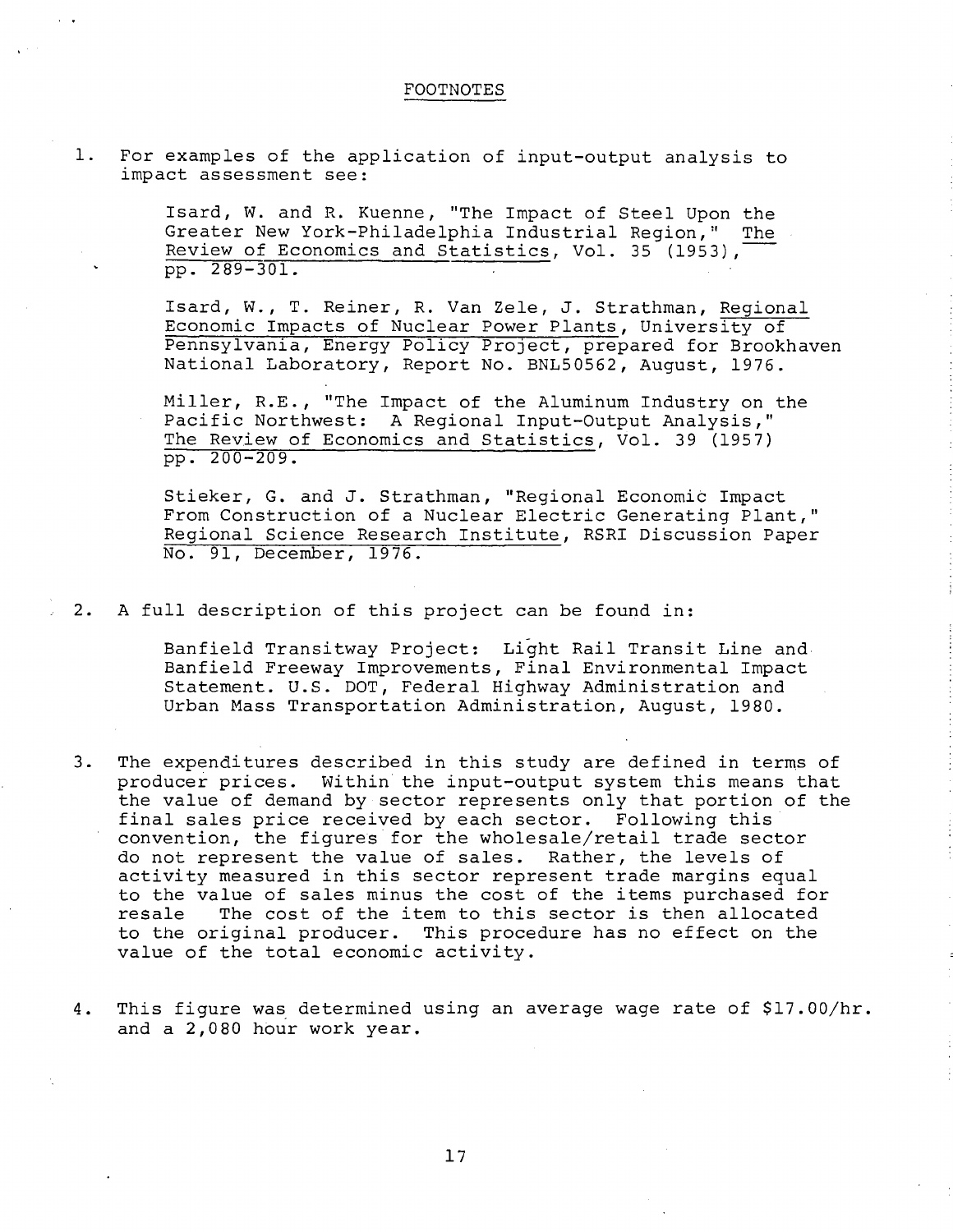#### FOOTNOTES

1. For examples of the application of input-output analysis to impact assessment see:

> Isard, *W.* and R. Kuenne, "The Impact of Steel Upon the Greater New York-Philadelphia Industrial Region," The Review of Economics and Statistics, Vol. 35 (1953), pp. 2 89-301.

Isard, W., T. Reiner, R. Van Zele, J. Strathman, Regional Economic Impacts of Nuclear Power Plants, University of Pennsylvania, Energy Policy ProJect, prepared for Brookhaven National Laboratory, Report No. BNL50562, August, 1976.

Miller, R.E., "The Impact of the Aluminum Industry on the Pacific Northwest: A Regional Input-Output Analysis," The Review of Economics and Statistics, Vol. 39 (1957) pp. 200-209.

Stieker, G. and J. Strathman, "Regional Economic Impact From Construction of a Nuclear Electric Generating Plant," Regional Science Research Institute, RSRI Discussion Paper No. 91, December, 1976.

2. A full description of this project can be found in:

Banfield Transitway Project: Light Rail Transit Line and Banfield Freeway Improvements, Final Environmental Impact Statement. U.S. DOT, Federal Highway Administration and Urban Mass Transportation Administration, August, 1980.

- 3. The expenditures described in this study are defined in terms of producer prices. Within the input-output system this means that the value of demand by sector represents only that portion of the final sales price received by each sector. Following this convention, the figures for the wholesale/retail trade sector do not represent the value of sales. Rather, the levels of activity measured in this sector represent trade margins equal to the value of sales minus the cost of the items purchased for resale The cost of the item to this sector is then allocated to the original producer. This procedure has no effect on the value of the total economic activity.
- 4. This figure was determined using an average wage rate of \$17.00/hr. and a 2,080 hour work year.